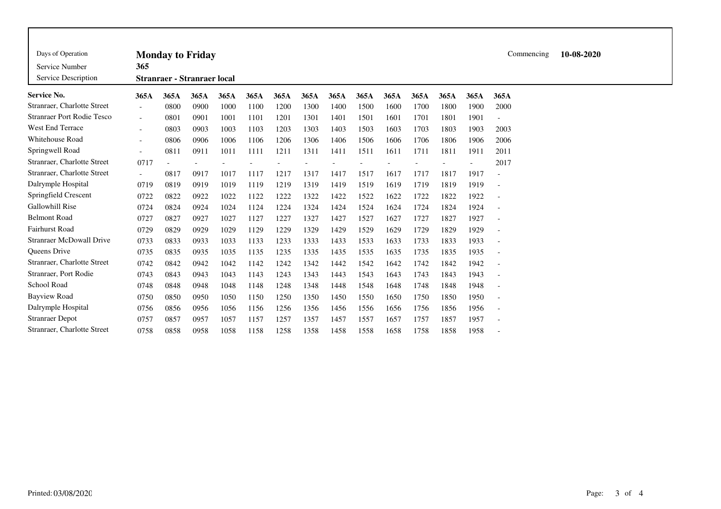| Days of Operation<br>Service Number<br>Service Description | <b>Monday to Friday</b><br>365<br><b>Stranraer - Stranraer local</b>                                         |      |      |      |      |      |      |      |      |      |      |      |      | Commencing               | 10-08-2020 |
|------------------------------------------------------------|--------------------------------------------------------------------------------------------------------------|------|------|------|------|------|------|------|------|------|------|------|------|--------------------------|------------|
| Service No.                                                | 365A<br>365A<br>365A<br>365A<br>365A<br>365A<br>365A<br>365A<br>365A<br>365A<br>365A<br>365A<br>365A<br>365A |      |      |      |      |      |      |      |      |      |      |      |      |                          |            |
| Stranraer, Charlotte Street                                | $\overline{\phantom{a}}$                                                                                     | 0800 | 0900 | 1000 | 1100 | 1200 | 1300 | 1400 | 1500 | 1600 | 1700 | 1800 | 1900 | 2000                     |            |
| <b>Stranraer Port Rodie Tesco</b>                          | $\overline{\phantom{a}}$                                                                                     | 0801 | 0901 | 1001 | 1101 | 1201 | 1301 | 1401 | 1501 | 1601 | 1701 | 1801 | 1901 |                          |            |
| West End Terrace                                           | $\overline{\phantom{a}}$                                                                                     | 0803 | 0903 | 1003 | 1103 | 1203 | 1303 | 1403 | 1503 | 1603 | 1703 | 1803 | 1903 | 2003                     |            |
| Whitehouse Road                                            | $\overline{\phantom{a}}$                                                                                     | 0806 | 0906 | 1006 | 1106 | 1206 | 1306 | 1406 | 1506 | 1606 | 1706 | 1806 | 1906 | 2006                     |            |
| Springwell Road                                            | $\overline{\phantom{a}}$                                                                                     | 0811 | 0911 | 1011 | 1111 | 1211 | 1311 | 1411 | 1511 | 1611 | 1711 | 1811 | 1911 | 2011                     |            |
| Stranraer, Charlotte Street                                | 0717                                                                                                         |      |      |      |      |      |      |      |      |      |      |      |      | 2017                     |            |
| Stranraer, Charlotte Street                                | $-$                                                                                                          | 0817 | 0917 | 1017 | 1117 | 1217 | 1317 | 1417 | 1517 | 1617 | 1717 | 1817 | 1917 |                          |            |
| Dalrymple Hospital                                         | 0719                                                                                                         | 0819 | 0919 | 1019 | 1119 | 1219 | 1319 | 1419 | 1519 | 1619 | 1719 | 1819 | 1919 | $\overline{\phantom{a}}$ |            |
| Springfield Crescent                                       | 0722                                                                                                         | 0822 | 0922 | 1022 | 1122 | 1222 | 1322 | 1422 | 1522 | 1622 | 1722 | 1822 | 1922 |                          |            |
| <b>Gallowhill Rise</b>                                     | 0724                                                                                                         | 0824 | 0924 | 1024 | 1124 | 1224 | 1324 | 1424 | 1524 | 1624 | 1724 | 1824 | 1924 | $\overline{\phantom{a}}$ |            |
| <b>Belmont Road</b>                                        | 0727                                                                                                         | 0827 | 0927 | 1027 | 1127 | 1227 | 1327 | 1427 | 1527 | 1627 | 1727 | 1827 | 1927 | $\overline{\phantom{a}}$ |            |
| <b>Fairhurst Road</b>                                      | 0729                                                                                                         | 0829 | 0929 | 1029 | 1129 | 1229 | 1329 | 1429 | 1529 | 1629 | 1729 | 1829 | 1929 | $\overline{\phantom{a}}$ |            |
| <b>Stranraer McDowall Drive</b>                            | 0733                                                                                                         | 0833 | 0933 | 1033 | 1133 | 1233 | 1333 | 1433 | 1533 | 1633 | 1733 | 1833 | 1933 | $\overline{\phantom{a}}$ |            |
| <b>Oueens Drive</b>                                        | 0735                                                                                                         | 0835 | 0935 | 1035 | 1135 | 1235 | 1335 | 1435 | 1535 | 1635 | 1735 | 1835 | 1935 | $\overline{\phantom{a}}$ |            |
| Stranraer, Charlotte Street                                | 0742                                                                                                         | 0842 | 0942 | 1042 | 1142 | 1242 | 1342 | 1442 | 1542 | 1642 | 1742 | 1842 | 1942 | $\overline{\phantom{a}}$ |            |
| Stranraer, Port Rodie                                      | 0743                                                                                                         | 0843 | 0943 | 1043 | 1143 | 1243 | 1343 | 1443 | 1543 | 1643 | 1743 | 1843 | 1943 |                          |            |
| School Road                                                | 0748                                                                                                         | 0848 | 0948 | 1048 | 1148 | 1248 | 1348 | 1448 | 1548 | 1648 | 1748 | 1848 | 1948 |                          |            |
| <b>Bayview Road</b>                                        | 0750                                                                                                         | 0850 | 0950 | 1050 | 1150 | 1250 | 1350 | 1450 | 1550 | 1650 | 1750 | 1850 | 1950 |                          |            |
| Dalrymple Hospital                                         | 0756                                                                                                         | 0856 | 0956 | 1056 | 1156 | 1256 | 1356 | 1456 | 1556 | 1656 | 1756 | 1856 | 1956 | $\overline{\phantom{a}}$ |            |
| <b>Stranraer Depot</b>                                     | 0757                                                                                                         | 0857 | 0957 | 1057 | 1157 | 1257 | 1357 | 1457 | 1557 | 1657 | 1757 | 1857 | 1957 | $\overline{\phantom{a}}$ |            |
| Stranraer, Charlotte Street                                | 0758                                                                                                         | 0858 | 0958 | 1058 | 1158 | 1258 | 1358 | 1458 | 1558 | 1658 | 1758 | 1858 | 1958 |                          |            |